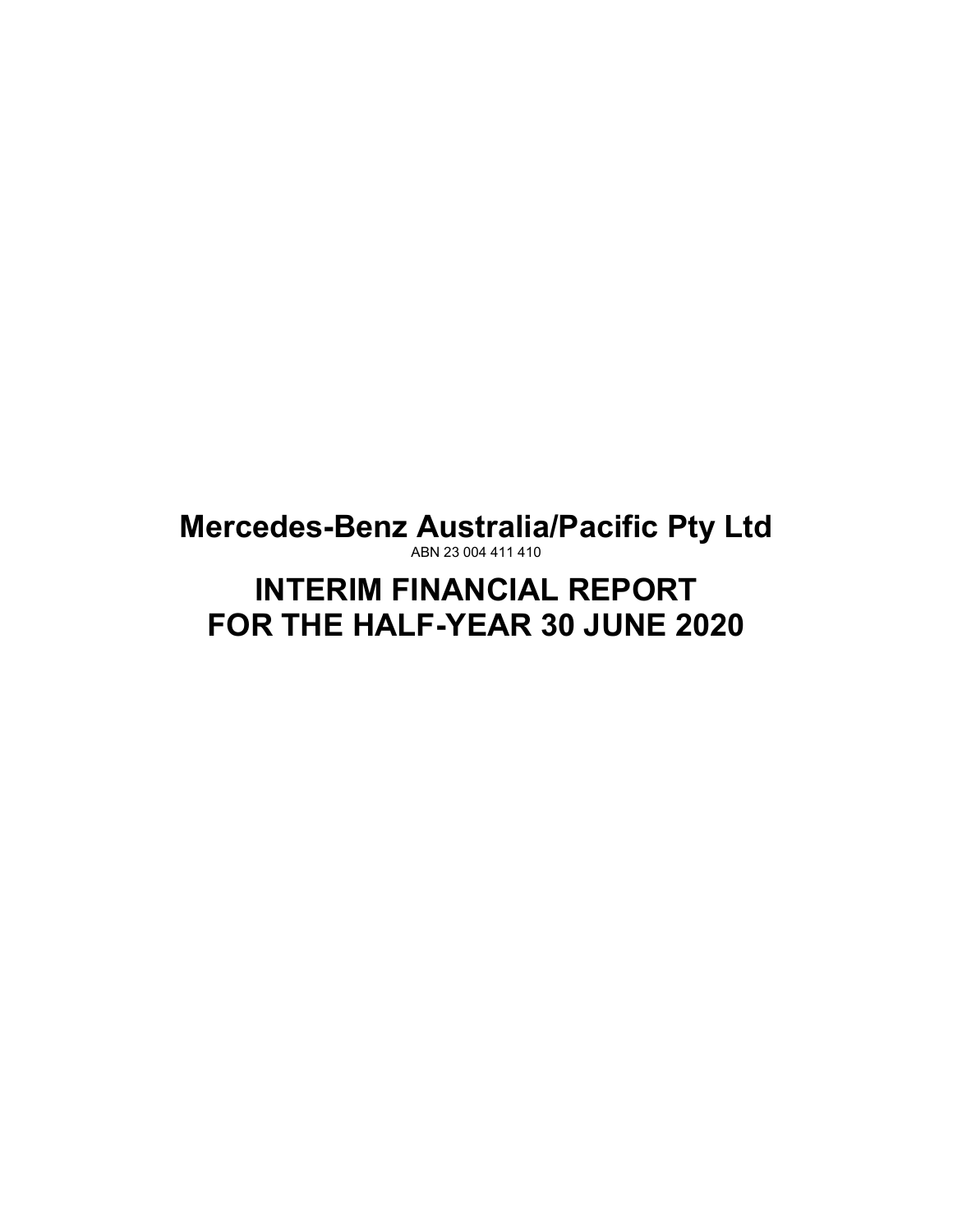**Mercedes-Benz Australia/Pacific Pty Ltd** ABN 23 004 411 410

# **INTERIM FINANCIAL REPORT FOR THE HALF-YEAR 30 JUNE 2020**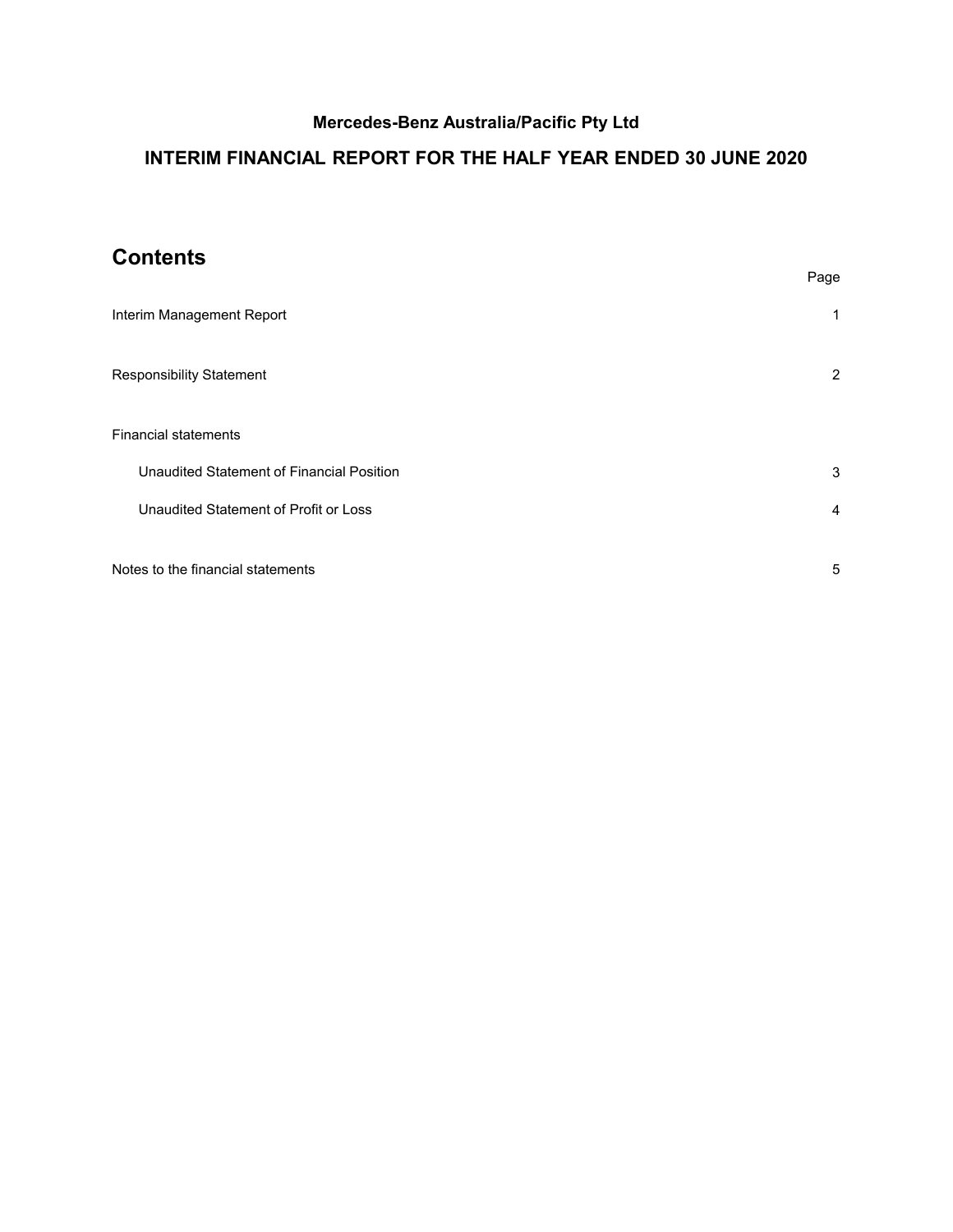# **INTERIM FINANCIAL REPORT FOR THE HALF YEAR ENDED 30 JUNE 2020**

# **Contents**

|                                           | Page           |
|-------------------------------------------|----------------|
| Interim Management Report                 | 1              |
| <b>Responsibility Statement</b>           | 2              |
| <b>Financial statements</b>               |                |
| Unaudited Statement of Financial Position | 3              |
| Unaudited Statement of Profit or Loss     | $\overline{4}$ |
| Notes to the financial statements         | 5              |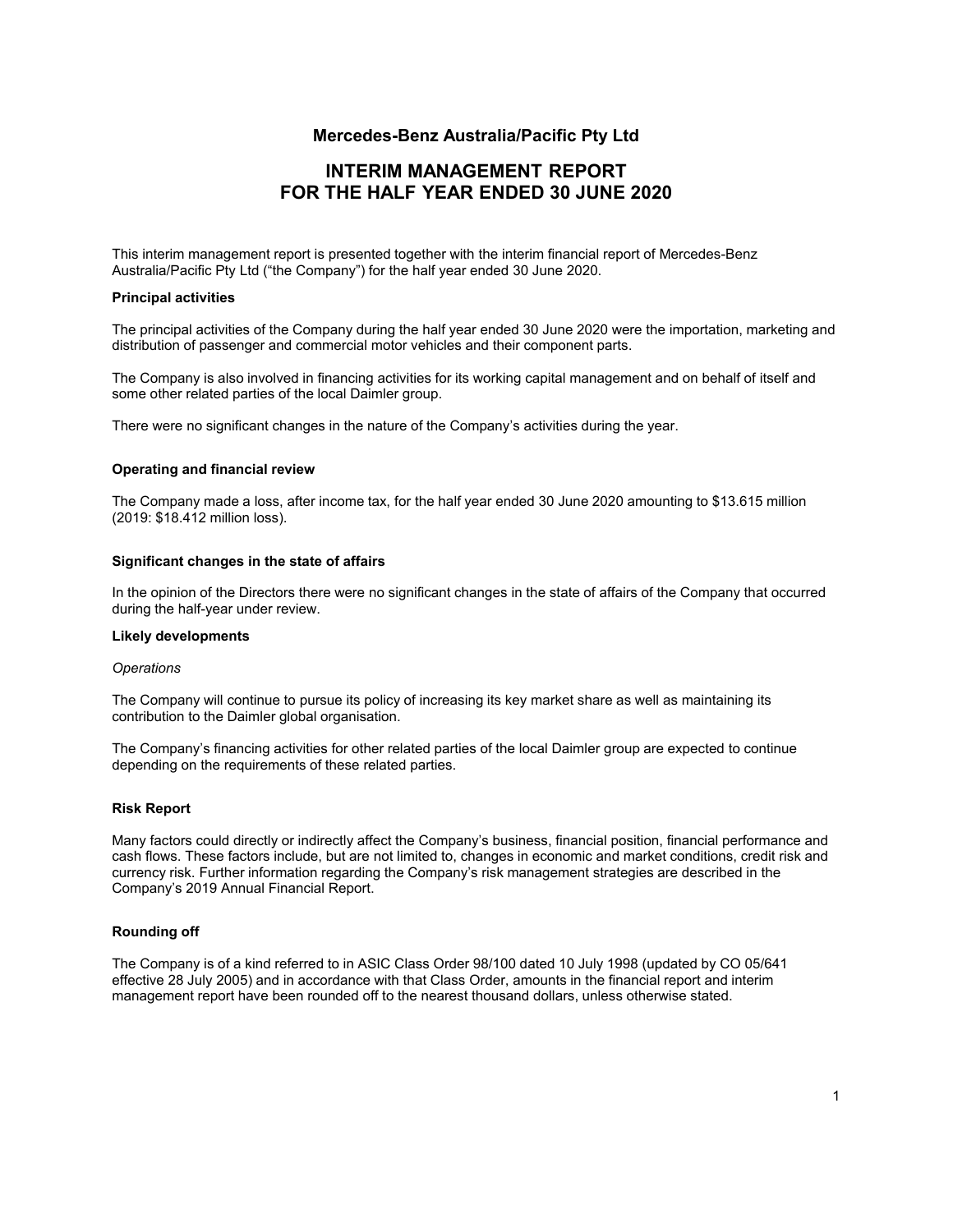# **INTERIM MANAGEMENT REPORT FOR THE HALF YEAR ENDED 30 JUNE 2020**

<span id="page-2-0"></span>This interim management report is presented together with the interim financial report of Mercedes-Benz Australia/Pacific Pty Ltd ("the Company") for the half year ended 30 June 2020.

### **Principal activities**

The principal activities of the Company during the half year ended 30 June 2020 were the importation, marketing and distribution of passenger and commercial motor vehicles and their component parts.

The Company is also involved in financing activities for its working capital management and on behalf of itself and some other related parties of the local Daimler group.

There were no significant changes in the nature of the Company's activities during the year.

### **Operating and financial review**

The Company made a loss, after income tax, for the half year ended 30 June 2020 amounting to \$13.615 million (2019: \$18.412 million loss).

### **Significant changes in the state of affairs**

In the opinion of the Directors there were no significant changes in the state of affairs of the Company that occurred during the half-year under review.

#### **Likely developments**

#### *Operations*

The Company will continue to pursue its policy of increasing its key market share as well as maintaining its contribution to the Daimler global organisation.

The Company's financing activities for other related parties of the local Daimler group are expected to continue depending on the requirements of these related parties.

#### **Risk Report**

Many factors could directly or indirectly affect the Company's business, financial position, financial performance and cash flows. These factors include, but are not limited to, changes in economic and market conditions, credit risk and currency risk. Further information regarding the Company's risk management strategies are described in the Company's 2019 Annual Financial Report.

#### **Rounding off**

The Company is of a kind referred to in ASIC Class Order 98/100 dated 10 July 1998 (updated by CO 05/641 effective 28 July 2005) and in accordance with that Class Order, amounts in the financial report and interim management report have been rounded off to the nearest thousand dollars, unless otherwise stated.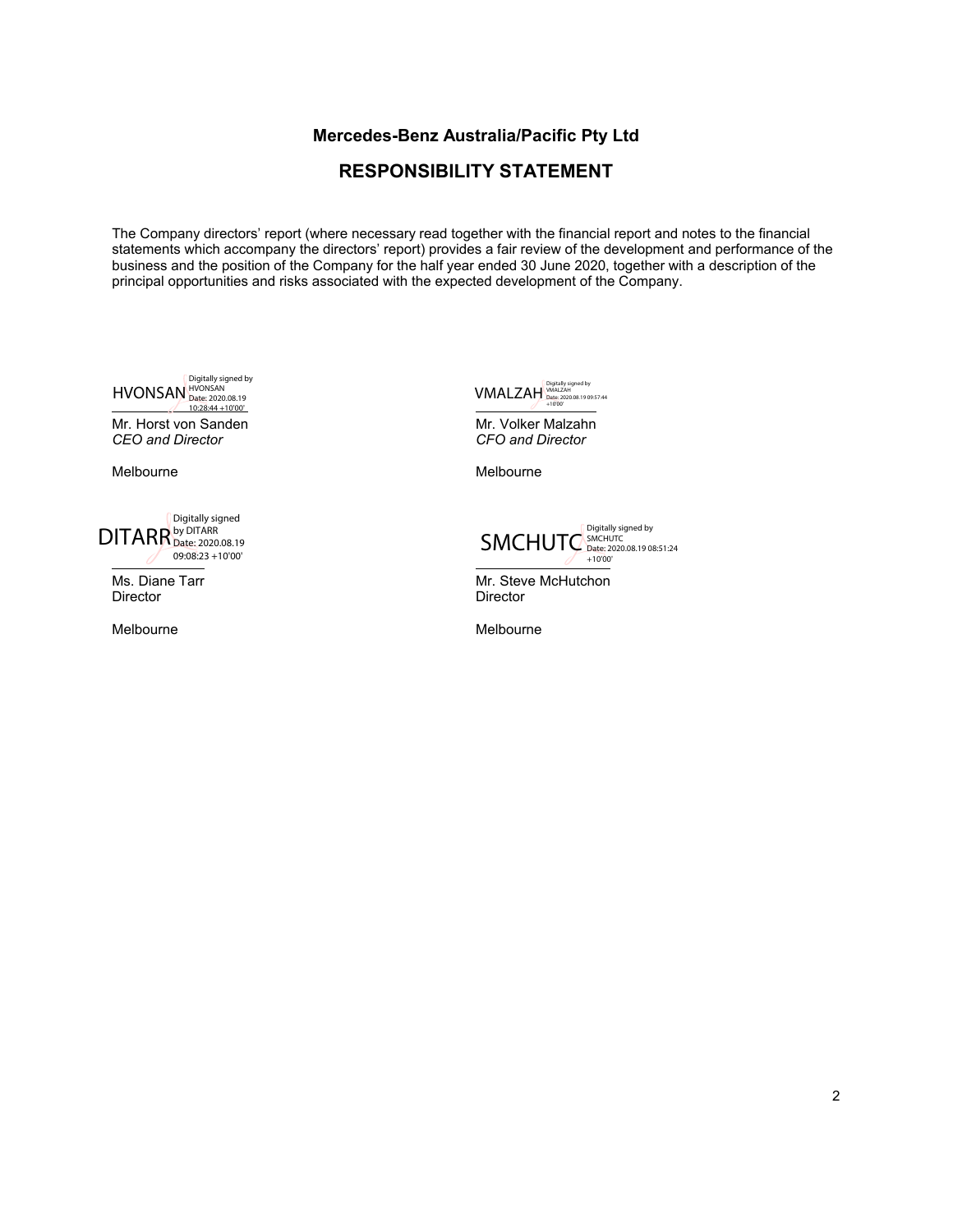# **RESPONSIBILITY STATEMENT**

<span id="page-3-0"></span>The Company directors' report (where necessary read together with the financial report and notes to the financial statements which accompany the directors' report) provides a fair review of the development and performance of the business and the position of the Company for the half year ended 30 June 2020, together with a description of the principal opportunities and risks associated with the expected development of the Company.

Digitally signed by<br>
HVONSAN Date: 2020.08.19<br>
10:28:44 +10'00'

Mr. Horst von Sanden *CEO and Director*

Melbourne

DITARR<sup>by Ditally signed</sup><br>DITARR<sup>by DITARR</sup><br>2020.08.19

Ms. Diane Tarr **Director** 

Melbourne

VMALZAH Date: 2020.08.19 09:57:44 +10'00'

Mr. Volker Malzahn *CFO and Director*

Melbourne



Mr. Steve McHutchon **Director** 

Melbourne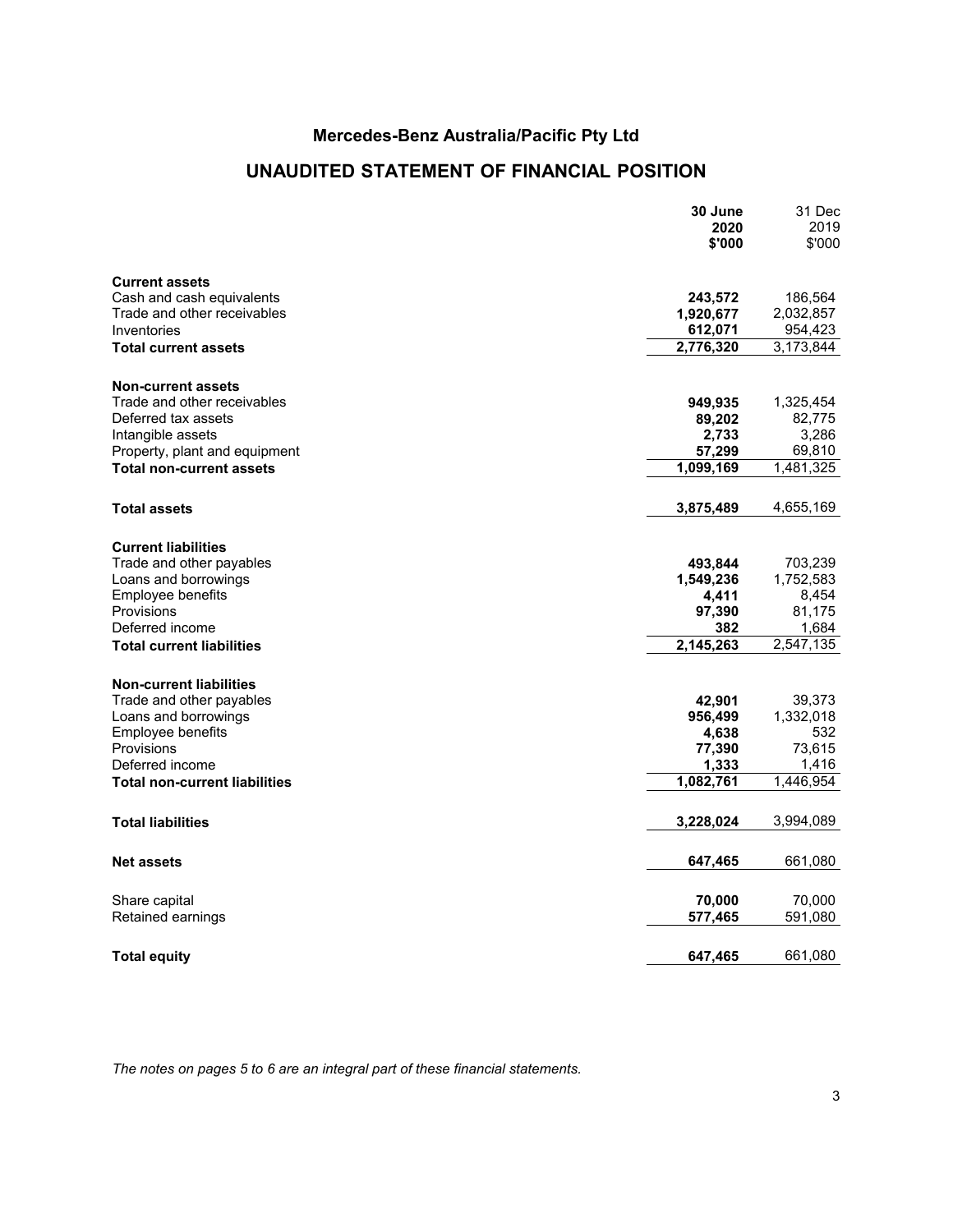# **UNAUDITED STATEMENT OF FINANCIAL POSITION**

<span id="page-4-0"></span>

|                                      | 30 June<br>2020<br>\$'000 | 31 Dec<br>2019<br>\$'000 |
|--------------------------------------|---------------------------|--------------------------|
| <b>Current assets</b>                |                           |                          |
| Cash and cash equivalents            | 243,572                   | 186,564                  |
| Trade and other receivables          | 1,920,677                 | 2,032,857                |
| Inventories                          | 612,071                   | 954,423                  |
| <b>Total current assets</b>          | 2,776,320                 | 3,173,844                |
| <b>Non-current assets</b>            |                           |                          |
| Trade and other receivables          | 949,935                   | 1,325,454                |
| Deferred tax assets                  | 89,202                    | 82,775                   |
| Intangible assets                    | 2,733                     | 3,286                    |
| Property, plant and equipment        | 57,299                    | 69,810                   |
| <b>Total non-current assets</b>      | 1,099,169                 | $\sqrt{1,481}$ , 325     |
| <b>Total assets</b>                  | 3,875,489                 | 4,655,169                |
| <b>Current liabilities</b>           |                           |                          |
| Trade and other payables             | 493,844                   | 703,239                  |
| Loans and borrowings                 | 1,549,236                 | 1,752,583                |
| Employee benefits                    | 4,411                     | 8,454                    |
| Provisions                           | 97,390                    | 81,175                   |
| Deferred income                      | 382                       | 1,684                    |
| <b>Total current liabilities</b>     | 2,145,263                 | 2,547,135                |
| <b>Non-current liabilities</b>       |                           |                          |
| Trade and other payables             | 42,901                    | 39,373                   |
| Loans and borrowings                 | 956,499                   | 1,332,018                |
| Employee benefits                    | 4,638                     | 532                      |
| Provisions                           | 77,390                    | 73,615                   |
| Deferred income                      | 1,333                     | 1,416                    |
| <b>Total non-current liabilities</b> | 1,082,761                 | 1,446,954                |
| <b>Total liabilities</b>             | 3,228,024                 | 3,994,089                |
| <b>Net assets</b>                    | 647,465                   | 661,080                  |
|                                      |                           |                          |
| Share capital                        | 70,000                    | 70,000                   |
| Retained earnings                    | 577,465                   | 591,080                  |
| <b>Total equity</b>                  | 647,465                   | 661,080                  |

*The notes on pages 5 to 6 are an integral part of these financial statements.*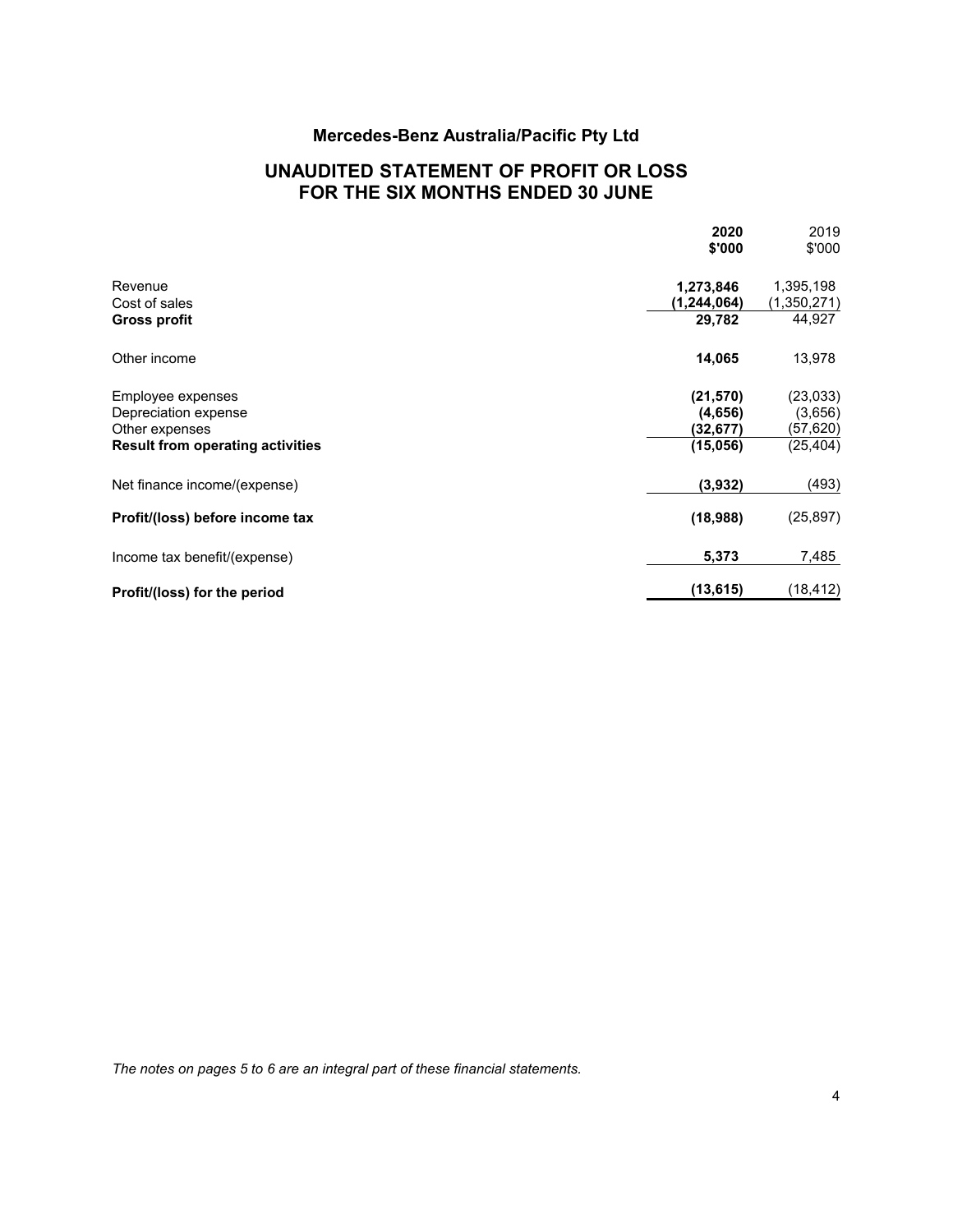# **UNAUDITED STATEMENT OF PROFIT OR LOSS FOR THE SIX MONTHS ENDED 30 JUNE**

<span id="page-5-0"></span>

|                                         | 2020<br>\$'000 | 2019<br>\$'000 |
|-----------------------------------------|----------------|----------------|
| Revenue                                 | 1,273,846      | 1,395,198      |
| Cost of sales                           | (1,244,064)    | (1,350,271)    |
| Gross profit                            | 29,782         | 44,927         |
| Other income                            | 14,065         | 13,978         |
| Employee expenses                       | (21, 570)      | (23, 033)      |
| Depreciation expense                    | (4,656)        | (3,656)        |
| Other expenses                          | (32,677)       | (57,620)       |
| <b>Result from operating activities</b> | (15,056)       | (25, 404)      |
| Net finance income/(expense)            | (3,932)        | (493)          |
| Profit/(loss) before income tax         | (18,988)       | (25, 897)      |
| Income tax benefit/(expense)            | 5,373          | 7,485          |
| Profit/(loss) for the period            | (13, 615)      | (18, 412)      |
|                                         |                |                |

*The notes on pages 5 to 6 are an integral part of these financial statements.*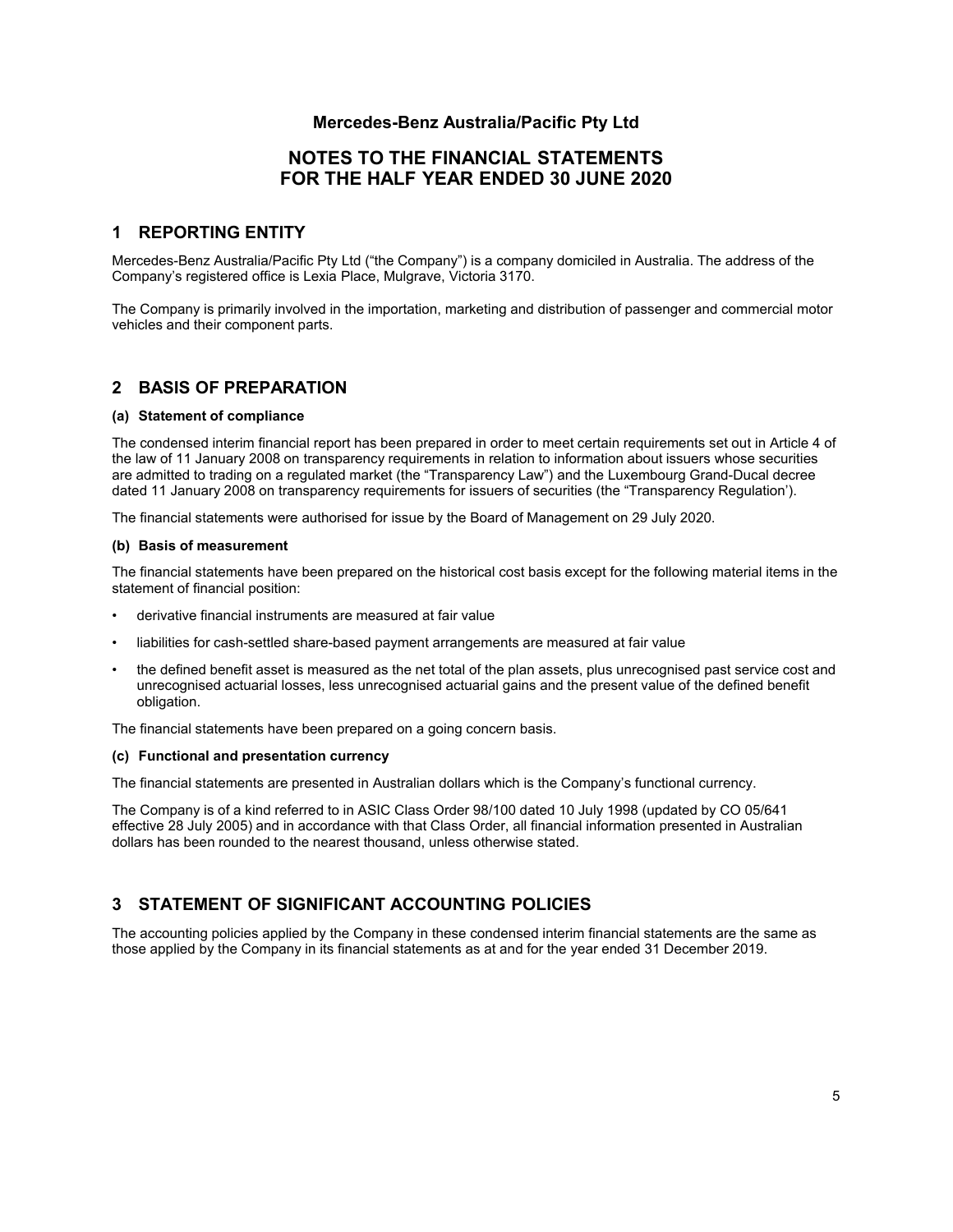# **NOTES TO THE FINANCIAL STATEMENTS FOR THE HALF YEAR ENDED 30 JUNE 2020**

### <span id="page-6-0"></span>**1 REPORTING ENTITY**

Mercedes-Benz Australia/Pacific Pty Ltd ("the Company") is a company domiciled in Australia. The address of the Company's registered office is Lexia Place, Mulgrave, Victoria 3170.

The Company is primarily involved in the importation, marketing and distribution of passenger and commercial motor vehicles and their component parts.

### **2 BASIS OF PREPARATION**

### **(a) Statement of compliance**

The condensed interim financial report has been prepared in order to meet certain requirements set out in Article 4 of the law of 11 January 2008 on transparency requirements in relation to information about issuers whose securities are admitted to trading on a regulated market (the "Transparency Law") and the Luxembourg Grand-Ducal decree dated 11 January 2008 on transparency requirements for issuers of securities (the "Transparency Regulation').

The financial statements were authorised for issue by the Board of Management on 29 July 2020.

#### **(b) Basis of measurement**

The financial statements have been prepared on the historical cost basis except for the following material items in the statement of financial position:

- derivative financial instruments are measured at fair value
- liabilities for cash-settled share-based payment arrangements are measured at fair value
- the defined benefit asset is measured as the net total of the plan assets, plus unrecognised past service cost and unrecognised actuarial losses, less unrecognised actuarial gains and the present value of the defined benefit obligation.

The financial statements have been prepared on a going concern basis.

#### **(c) Functional and presentation currency**

The financial statements are presented in Australian dollars which is the Company's functional currency.

The Company is of a kind referred to in ASIC Class Order 98/100 dated 10 July 1998 (updated by CO 05/641 effective 28 July 2005) and in accordance with that Class Order, all financial information presented in Australian dollars has been rounded to the nearest thousand, unless otherwise stated.

## **3 STATEMENT OF SIGNIFICANT ACCOUNTING POLICIES**

The accounting policies applied by the Company in these condensed interim financial statements are the same as those applied by the Company in its financial statements as at and for the year ended 31 December 2019.